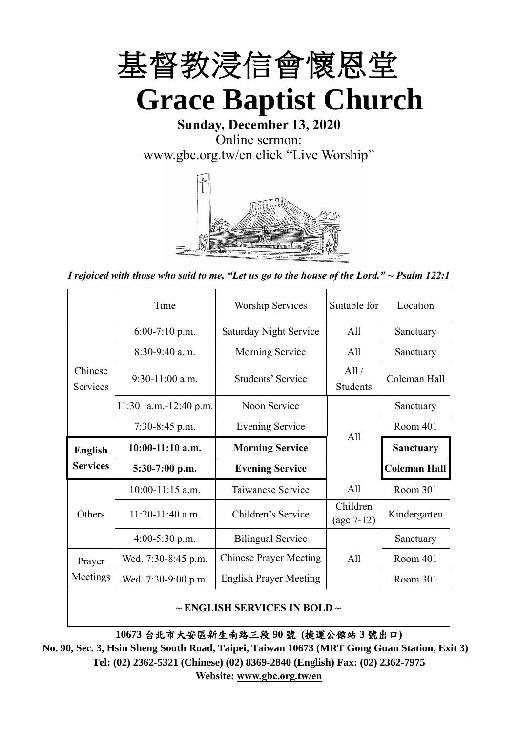

**Grace Baptist Church**

**Sunday, December 13, 2020** Online sermon: [www.gbc.org.tw/en](http://www.gbc.org.tw/en) click "Live Worship"



*I rejoiced with those who said to me, "Let us go to the house of the Lord." ~ Psalm 122:1*

|                            | Time                       | <b>Worship Services</b>       | Suitable for             | Location            |
|----------------------------|----------------------------|-------------------------------|--------------------------|---------------------|
|                            | $6:00-7:10$ p.m.           | Saturday Night Service        | A11                      | Sanctuary           |
|                            | $8:30-9:40$ a.m.           | <b>Morning Service</b>        | All                      | Sanctuary           |
| Chinese<br><b>Services</b> | $9:30-11:00$ a.m.          | Students' Service             | All /<br><b>Students</b> | Coleman Hall        |
|                            | $a.m.-12:40 p.m.$<br>11:30 | Noon Service                  |                          | Sanctuary           |
|                            | $7:30-8:45$ p.m.           | <b>Evening Service</b>        | All                      | Room 401            |
|                            |                            |                               |                          |                     |
| <b>English</b>             | $10:00-11:10$ a.m.         | <b>Morning Service</b>        |                          | <b>Sanctuary</b>    |
| <b>Services</b>            | $5:30-7:00$ p.m.           | <b>Evening Service</b>        |                          | <b>Coleman Hall</b> |
|                            | $10:00-11:15$ a.m.         | Taiwanese Service             | A11                      | Room 301            |
| Others                     | $11:20-11:40$ a.m.         | Children's Service            | Children<br>$(age 7-12)$ | Kindergarten        |
|                            | $4:00-5:30$ p.m.           | <b>Bilingual Service</b>      |                          | Sanctuary           |
| Prayer                     | Wed. 7:30-8:45 p.m.        | <b>Chinese Prayer Meeting</b> | All                      | Room 401            |
| Meetings                   | Wed. 7:30-9:00 p.m.        | <b>English Prayer Meeting</b> |                          | Room 301            |

### **~ ENGLISH SERVICES IN BOLD ~**

**10673** 台北市大安區新生南路三段 **90** 號 **(**捷運公館站 **3** 號出口**)**

**No. 90, Sec. 3, Hsin Sheng South Road, Taipei, Taiwan 10673 (MRT Gong Guan Station, Exit 3) Tel: (02) 2362-5321 (Chinese) (02) 8369-2840 (English) Fax: (02) 2362-7975 Website: [www.gbc.org.tw/en](http://www.gbc.org.tw/en)**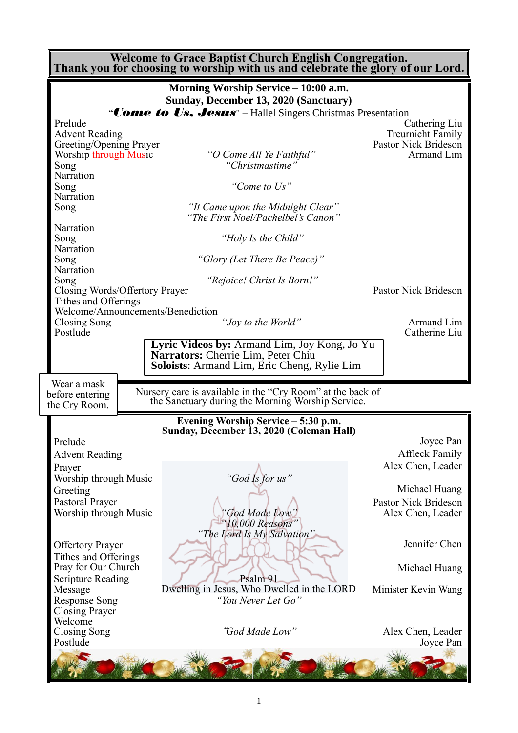**Welcome to Grace Baptist Church English Congregation. Thank you for choosing to worship with us and celebrate the glory of our Lord.**

|                                          | Morning Worship Service - 10:00 a.m.                                                                            |                                           |
|------------------------------------------|-----------------------------------------------------------------------------------------------------------------|-------------------------------------------|
|                                          | Sunday, December 13, 2020 (Sanctuary)                                                                           |                                           |
|                                          | "Come to Us, Jesus" – Hallel Singers Christmas Presentation                                                     |                                           |
| Prelude                                  |                                                                                                                 | Cathering Liu                             |
| <b>Advent Reading</b>                    |                                                                                                                 | <b>Treurnicht Family</b>                  |
| Greeting/Opening Prayer                  |                                                                                                                 | Pastor Nick Brideson                      |
| Worship through Music                    | "O Come All Ye Faithful"<br>"Christmastime"                                                                     | Armand Lim                                |
| Song<br>Narration                        |                                                                                                                 |                                           |
| Song                                     | "Come to Us"                                                                                                    |                                           |
| Narration                                |                                                                                                                 |                                           |
| Song                                     | "It Came upon the Midnight Clear"<br>"The First Noel/Pachelbel's Canon"                                         |                                           |
| Narration                                |                                                                                                                 |                                           |
| Song                                     | "Holy Is the Child"                                                                                             |                                           |
| Narration<br>Song                        | "Glory (Let There Be Peace)"                                                                                    |                                           |
| Narration                                |                                                                                                                 |                                           |
| Song                                     | "Rejoice! Christ Is Born!"                                                                                      |                                           |
| Closing Words/Offertory Prayer           |                                                                                                                 | Pastor Nick Brideson                      |
| Tithes and Offerings                     |                                                                                                                 |                                           |
| Welcome/Announcements/Benediction        |                                                                                                                 |                                           |
| Closing Song<br>Postlude                 | "Joy to the World"                                                                                              | Armand Lim                                |
|                                          |                                                                                                                 | Catherine Liu                             |
|                                          | Lyric Videos by: Armand Lim, Joy Kong, Jo Yu<br>Narrators: Cherrie Lim, Peter Chiu                              |                                           |
|                                          | <b>Soloists:</b> Armand Lim, Eric Cheng, Rylie Lim                                                              |                                           |
|                                          |                                                                                                                 |                                           |
| Wear a mask                              |                                                                                                                 |                                           |
| before entering                          | Nursery care is available in the "Cry Room" at the back of<br>the Sanctuary during the Morning Worship Service. |                                           |
| the Cry Room.                            |                                                                                                                 |                                           |
|                                          | Evening Worship Service - 5:30 p.m.                                                                             |                                           |
| Prelude                                  | Sunday, December 13, 2020 (Coleman Hall)                                                                        | Joyce Pan                                 |
|                                          |                                                                                                                 | <b>Affleck Family</b>                     |
| <b>Advent Reading</b>                    |                                                                                                                 |                                           |
| Prayer                                   |                                                                                                                 | Alex Chen, Leader                         |
| Worship through Music                    | "God Is for us"                                                                                                 | Michael Huang                             |
| Greeting                                 |                                                                                                                 |                                           |
| Pastoral Prayer<br>Worship through Music | God Made Low'                                                                                                   | Pastor Nick Brideson<br>Alex Chen, Leader |
|                                          | $'10,000$ Reasons"                                                                                              |                                           |
|                                          |                                                                                                                 |                                           |
|                                          |                                                                                                                 |                                           |
|                                          | "The Lord Is My Salvation"                                                                                      |                                           |
| <b>Offertory Prayer</b>                  |                                                                                                                 | Jennifer Chen                             |
| Tithes and Offerings                     |                                                                                                                 |                                           |
| Pray for Our Church                      | Psalm 91                                                                                                        | Michael Huang                             |
| <b>Scripture Reading</b><br>Message      | Dwelling in Jesus, Who Dwelled in the LORD                                                                      | Minister Kevin Wang                       |
| <b>Response Song</b>                     | "You Never Let Go"                                                                                              |                                           |
| <b>Closing Prayer</b>                    |                                                                                                                 |                                           |
| Welcome                                  |                                                                                                                 |                                           |
| Closing Song                             | "God Made Low"                                                                                                  | Alex Chen, Leader                         |
| Postlude                                 |                                                                                                                 | Joyce Pan                                 |
|                                          |                                                                                                                 |                                           |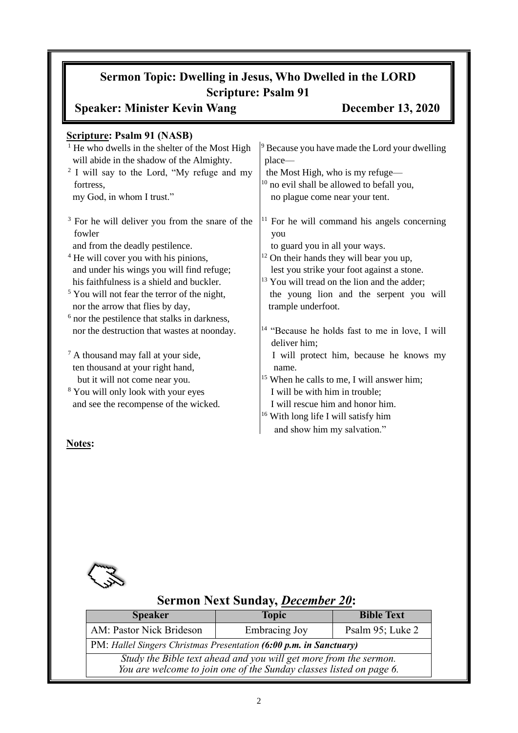# **Sermon Topic: Dwelling in Jesus, Who Dwelled in the LORD Scripture: Psalm 91**

# **Speaker: Minister Kevin Wang December 13, 2020**

| <b>Scripture: Psalm 91 (NASB)</b>                                                                       |                                                                                                          |
|---------------------------------------------------------------------------------------------------------|----------------------------------------------------------------------------------------------------------|
| $1$ He who dwells in the shelter of the Most High                                                       | <sup>9</sup> Because you have made the Lord your dwelling                                                |
| will abide in the shadow of the Almighty.                                                               | place-                                                                                                   |
| <sup>2</sup> I will say to the Lord, "My refuge and my                                                  | the Most High, who is my refuge—                                                                         |
| fortress,                                                                                               | $10$ no evil shall be allowed to befall you,                                                             |
| my God, in whom I trust."                                                                               | no plague come near your tent.                                                                           |
| <sup>3</sup> For he will deliver you from the snare of the<br>fowler<br>and from the deadly pestilence. | $\vert$ <sup>11</sup> For he will command his angels concerning<br>you<br>to guard you in all your ways. |
| <sup>4</sup> He will cover you with his pinions,                                                        | $12$ On their hands they will bear you up,                                                               |
| and under his wings you will find refuge;                                                               | lest you strike your foot against a stone.                                                               |
| his faithfulness is a shield and buckler.                                                               | <sup>13</sup> You will tread on the lion and the adder;                                                  |
| $5$ You will not fear the terror of the night,                                                          | the young lion and the serpent you will                                                                  |
| nor the arrow that flies by day,                                                                        | trample underfoot.                                                                                       |
| <sup>6</sup> nor the pestilence that stalks in darkness,                                                |                                                                                                          |
| nor the destruction that wastes at noonday.                                                             | <sup>14</sup> "Because he holds fast to me in love, I will<br>deliver him;                               |
| <sup>7</sup> A thousand may fall at your side,                                                          | I will protect him, because he knows my                                                                  |
| ten thousand at your right hand,                                                                        | name.                                                                                                    |
| but it will not come near you.                                                                          | $15$ When he calls to me, I will answer him;                                                             |
| <sup>8</sup> You will only look with your eyes                                                          | I will be with him in trouble;                                                                           |
| and see the recompense of the wicked.                                                                   | I will rescue him and honor him.                                                                         |
|                                                                                                         | $16$ With long life I will satisfy him                                                                   |
|                                                                                                         | and show him my salvation."                                                                              |
| <b>BT</b>                                                                                               |                                                                                                          |

## **Notes:**



# **Sermon Next Sunday,** *December 20***:**

| <b>Speaker</b>                                                     | <b>Topic</b>                                                                                                                             | <b>Bible Text</b> |  |
|--------------------------------------------------------------------|------------------------------------------------------------------------------------------------------------------------------------------|-------------------|--|
| AM: Pastor Nick Brideson                                           | <b>Embracing Joy</b>                                                                                                                     | Psalm 95; Luke 2  |  |
| PM: Hallel Singers Christmas Presentation (6:00 p.m. in Sanctuary) |                                                                                                                                          |                   |  |
|                                                                    | Study the Bible text ahead and you will get more from the sermon.<br>You are welcome to join one of the Sunday classes listed on page 6. |                   |  |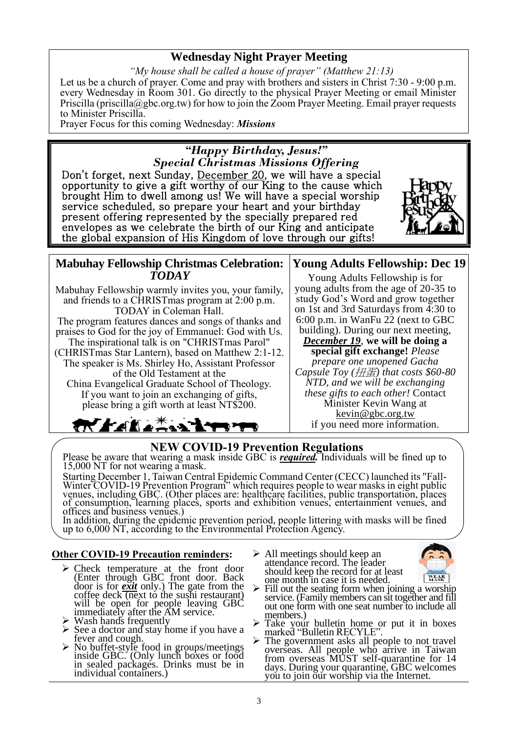## **Wednesday Night Prayer Meeting**

*"My house shall be called a house of prayer" (Matthew 21:13)* Let us be a church of prayer. Come and pray with brothers and sisters in Christ 7:30 - 9:00 p.m. every Wednesday in Room 301. Go directly to the physical Prayer Meeting or email Minister Priscilla (priscilla@gbc.org.tw) for how to join the Zoom Prayer Meeting. Email prayer requests to Minister Priscilla.

Prayer Focus for this coming Wednesday: *Missions*



Mabuhay Fellowship warmly invites you, your family, and friends to a CHRISTmas program at 2:00 p.m. TODAY in Coleman Hall. The program features dances and songs of thanks and praises to God for the joy of Emmanuel: God with Us. The inspirational talk is on "CHRISTmas Parol" (CHRISTmas Star Lantern), based on Matthew 2:1-12. The speaker is Ms. Shirley Ho, Assistant Professor of the Old Testament at the

China Evangelical Graduate School of Theology. If you want to join an exchanging of gifts, please bring a gift worth at least NT\$200.

## **Young Adults Fellowship: Dec 19**

Young Adults Fellowship is for young adults from the age of 20-35 to study God's Word and grow together on 1st and 3rd Saturdays from 4:30 to 6:00 p.m. in WanFu 22 (next to GBC building). During our next meeting,

*December 19*, **we will be doing a special gift exchange!** *Please prepare one unopened Gacha Capsule Toy (*扭蛋*) that costs \$60-80 NTD, and we will be exchanging these gifts to each other!* Contact Minister Kevin Wang at kevin@gbc.org.tw if you need more information.

## **NEW COVID-19 Prevention Regulations**

Please be aware that wearing a mask inside GBC is *required.* Individuals will be fined up to 15,000 NT for not wearing a mask.

Starting December 1, Taiwan Central Epidemic Command Center (CECC) launched its "Fall-Winter COVID-19 Prevention Program" which requires people to wear masks in eight public venues, including GBC. (Other places are: healthcare facilities, public transportation, places of consumption, learning places, sports and exhibition venues, entertainment venues, and offices and business venues.)

In addition, during the epidemic prevention period, people littering with masks will be fined up to 6,000 NT, according to the Environmental Protection Agency.

### **Other COVID-19 Precaution reminders:**

**TY FALLAND** 

- ➢ Check temperature at the front door (Enter through GBC front door. Back door is for *exit* only.) The gate from the coffee deck  $\overline{(next)}$  to the sushi restaurant) will be open for people leaving GBC immediately after the AM service.
- ➢ Wash hands frequently
- $\triangleright$  See a doctor and stay home if you have a fever and cough.
- ➢ No buffet-style food in groups/meetings inside GBC. (Only lunch boxes or food in sealed packages. Drinks must be in individual containers.)
- ➢ All meetings should keep an attendance record. The leader should keep the record for at least one month in case it is needed.



- $\triangleright$  Fill out the seating form when joining a worship service. (Family members can sit together and fill out one form with one seat number to include all members.)
- ➢ Take your bulletin home or put it in boxes marked "Bulletin RECYLE".
- ➢ The government asks all people to not travel overseas. All people who arrive in Taiwan from overseas MUST self-quarantine for 14 days. During your quarantine, GBC welcomes you to join our worship via the Internet.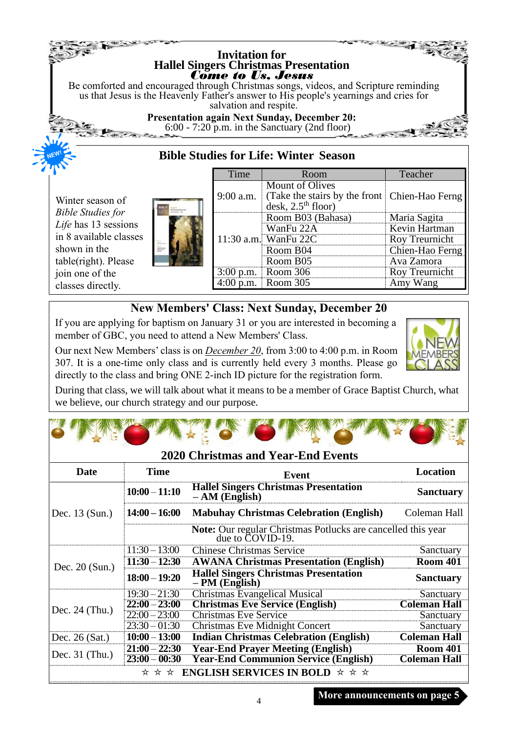## **Bible Studies for Life: Winter Season Invitation for Hallel Singers Christmas Presentation** *Come to Us, Jesus* Be comforted and encouraged through Christmas songs, videos, and Scripture reminding us that Jesus is the Heavenly Father's answer to His people's yearnings and cries for salvation and respite. **Presentation again Next Sunday, December 20:** 6:00 - 7:20 p.m. in the Sanctuary (2nd floor)

Winter season of *Bible Studies for Life* has 13 sessions in 8 available classes shown in the table(right). Please join one of the classes directly.



**THE CONSTRUCTION OF THE CONSTRUCTION OF THE ANTICOLLECTION OF THE ANTICOLLECTION OF THE ANTICOLLECTION OF THE AN** 

| Time                                                                                                                              | Room                 | Teacher         |
|-----------------------------------------------------------------------------------------------------------------------------------|----------------------|-----------------|
| <b>Mount of Olives</b><br>(Take the stairs by the front   Chien-Hao Ferng<br>$9:00$ a.m.<br>$\text{desk}, 2.5^{\text{th}}$ floor) |                      |                 |
|                                                                                                                                   | Room B03 (Bahasa)    | Maria Sagita    |
|                                                                                                                                   | WanFu 22A            | Kevin Hartman   |
|                                                                                                                                   | 11:30 a.m. WanFu 22C | Roy Treurnicht  |
|                                                                                                                                   | Room B04             | Chien-Hao Ferng |
|                                                                                                                                   | Room B05             | Ava Zamora      |
|                                                                                                                                   | Room 306             | Roy Treurnicht  |
|                                                                                                                                   | 0.m. Room 305        | Amy Wang        |

# **New Members' Class: Next Sunday, December 20**

If you are applying for baptism on January 31 or you are interested in becoming a member of GBC, you need to attend a New Members' Class.

Our next New Members' class is on *December 20*, from 3:00 to 4:00 p.m. in Room 307. It is a one-time only class and is currently held every 3 months. Please go directly to the class and bring ONE 2-inch ID picture for the registration form.



During that class, we will talk about what it means to be a member of Grace Baptist Church, what we believe, our church strategy and our purpose.

|                  |                 | <b>2020 Christmas and Year-End Events</b>                                        |                     |
|------------------|-----------------|----------------------------------------------------------------------------------|---------------------|
| Date             | <b>Time</b>     | Event                                                                            | Location            |
|                  | $10:00 - 11:10$ | <b>Hallel Singers Christmas Presentation</b><br>$- AM$ (English)                 | <b>Sanctuary</b>    |
| Dec. 13 (Sun.)   | $14:00 - 16:00$ | <b>Mabuhay Christmas Celebration (English)</b>                                   | Coleman Hall        |
|                  |                 | Note: Our regular Christmas Potlucks are cancelled this year<br>due to COVID-19. |                     |
|                  | $11:30 - 13:00$ | <b>Chinese Christmas Service</b>                                                 | Sanctuary           |
|                  | $11:30 - 12:30$ | <b>AWANA Christmas Presentation (English)</b>                                    | <b>Room 401</b>     |
| Dec. $20$ (Sun.) | $18:00 - 19:20$ | <b>Hallel Singers Christmas Presentation</b><br>– PM (English)                   | <b>Sanctuary</b>    |
|                  | $19:30 - 21:30$ | Christmas Evangelical Musical                                                    | Sanctuary           |
| Dec. $24$ (Thu.) | $22:00 - 23:00$ | <b>Christmas Eve Service (English)</b>                                           | <b>Coleman Hall</b> |
|                  | $22:00 - 23:00$ | <b>Christmas Eve Service</b>                                                     | Sanctuary           |
|                  | $23:30 - 01:30$ | Christmas Eve Midnight Concert                                                   | Sanctuary           |
| Dec. $26$ (Sat.) | $10:00 - 13:00$ | <b>Indian Christmas Celebration (English)</b>                                    | <b>Coleman Hall</b> |
|                  | $21:00 - 22:30$ | <b>Year-End Prayer Meeting (English)</b>                                         | <b>Room 401</b>     |
| Dec. $31$ (Thu.) | $23:00 - 00:30$ | <b>Year-End Communion Service (English)</b>                                      | <b>Coleman Hall</b> |

### **More announcements on page 5**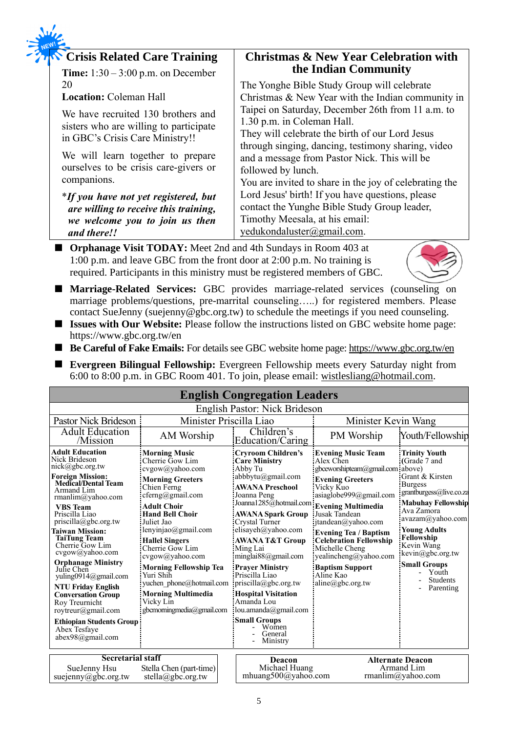| <b>Crisis Related Care Training</b>                                                                                    | <b>Christmas &amp; New Year Celebration with</b>                                                                                   |
|------------------------------------------------------------------------------------------------------------------------|------------------------------------------------------------------------------------------------------------------------------------|
| <b>Time:</b> $1:30-3:00$ p.m. on December                                                                              | the Indian Community                                                                                                               |
| 20                                                                                                                     | The Yonghe Bible Study Group will celebrate                                                                                        |
| <b>Location: Coleman Hall</b>                                                                                          | Christmas & New Year with the Indian community in                                                                                  |
| We have recruited 130 brothers and<br>sisters who are willing to participate                                           | Taipei on Saturday, December 26th from 11 a.m. to<br>1.30 p.m. in Coleman Hall.<br>They will celebrate the birth of our Lord Jesus |
| in GBC's Crisis Care Ministry!!                                                                                        | through singing, dancing, testimony sharing, video                                                                                 |
| We will learn together to prepare<br>ourselves to be crisis care-givers or<br>companions.                              | and a message from Pastor Nick. This will be<br>followed by lunch.<br>You are invited to share in the joy of celebrating the       |
| <i>*If you have not yet registered, but</i><br>are willing to receive this training,<br>we welcome you to join us then | Lord Jesus' birth! If you have questions, please<br>contact the Yunghe Bible Study Group leader,<br>Timothy Meesala, at his email: |
| and there!!                                                                                                            | yedukondaluster@gmail.com.                                                                                                         |

■ **Orphanage Visit TODAY:** Meet 2nd and 4th Sundays in Room 403 at 1:00 p.m. and leave GBC from the front door at 2:00 p.m. No training is required. Participants in this ministry must be registered members of GBC.



- Marriage-Related Services: GBC provides marriage-related services (counseling on marriage problems/questions, pre-marrital counseling…..) for registered members. Please contact SueJenny (suejenny@gbc.org.tw) to schedule the meetings if you need counseling.
- **Issues with Our Website:** Please follow the instructions listed on GBC website home page: https://www.gbc.org.tw/en
- **Be Careful of Fake Emails:** For details see GBC website home page:<https://www.gbc.org.tw/en>
- **Evergreen Bilingual Fellowship:** Evergreen Fellowship meets every Saturday night from 6:00 to 8:00 p.m. in GBC Room 401. To join, please email: [wistlesliang@hotmail.com.](mailto:wistlesliang@hotmail.com)

| <b>English Congregation Leaders</b>                                                                                                                                                                                                                                                                                                                                                                                                                                                                                                                                |                                                                                                                                                                                                                                                                                                                                                                                                                               |                                                                                                                                                                                                                                                                                                                                                                                                                                                                                                                             |                                                                                                                                                                                                                                                                                                                                                                 |                                                                                                                                                                                                                                                                                                            |  |
|--------------------------------------------------------------------------------------------------------------------------------------------------------------------------------------------------------------------------------------------------------------------------------------------------------------------------------------------------------------------------------------------------------------------------------------------------------------------------------------------------------------------------------------------------------------------|-------------------------------------------------------------------------------------------------------------------------------------------------------------------------------------------------------------------------------------------------------------------------------------------------------------------------------------------------------------------------------------------------------------------------------|-----------------------------------------------------------------------------------------------------------------------------------------------------------------------------------------------------------------------------------------------------------------------------------------------------------------------------------------------------------------------------------------------------------------------------------------------------------------------------------------------------------------------------|-----------------------------------------------------------------------------------------------------------------------------------------------------------------------------------------------------------------------------------------------------------------------------------------------------------------------------------------------------------------|------------------------------------------------------------------------------------------------------------------------------------------------------------------------------------------------------------------------------------------------------------------------------------------------------------|--|
| English Pastor: Nick Brideson                                                                                                                                                                                                                                                                                                                                                                                                                                                                                                                                      |                                                                                                                                                                                                                                                                                                                                                                                                                               |                                                                                                                                                                                                                                                                                                                                                                                                                                                                                                                             |                                                                                                                                                                                                                                                                                                                                                                 |                                                                                                                                                                                                                                                                                                            |  |
| Minister Priscilla Liao<br><b>Pastor Nick Brideson</b>                                                                                                                                                                                                                                                                                                                                                                                                                                                                                                             |                                                                                                                                                                                                                                                                                                                                                                                                                               |                                                                                                                                                                                                                                                                                                                                                                                                                                                                                                                             | Minister Kevin Wang                                                                                                                                                                                                                                                                                                                                             |                                                                                                                                                                                                                                                                                                            |  |
| <b>Adult Education</b><br>/Mission                                                                                                                                                                                                                                                                                                                                                                                                                                                                                                                                 | AM Worship                                                                                                                                                                                                                                                                                                                                                                                                                    | Children's<br>Education/Caring                                                                                                                                                                                                                                                                                                                                                                                                                                                                                              | PM Worship                                                                                                                                                                                                                                                                                                                                                      | Youth/Fellowship                                                                                                                                                                                                                                                                                           |  |
| <b>Adult Education</b><br>Nick Brideson<br>nick@gbc.org.tw<br><b>Foreign Mission:</b><br><b>Medical/Dental Team</b><br>Armand Lim<br>rmanlim@yahoo.com<br><b>VBS</b> Team<br>Priscilla Liao<br>$priscilla(\partial gbc.org.tw)$<br><b>Taiwan Mission:</b><br><b>TaiTung Team</b><br>Cherrie Gow Lim<br>cvgow@yahoo.com<br><b>Orphanage Ministry</b><br>Julie Chen<br>yuling0914@gmail.com<br><b>NTU Friday English</b><br><b>Conversation Group</b><br>Roy Treurnicht<br>roytreur@gmail.com<br><b>Ethiopian Students Group</b><br>Abex Tesfave<br>abex98@gmail.com | <b>Morning Music</b><br>Cherrie Gow Lim<br>cvgow@yahoo.com<br><b>Morning Greeters</b><br>Chien Ferng<br>cferng@gmail.com<br><b>Adult Choir</b><br><b>Hand Bell Choir</b><br>Juliet Jao<br>lenyinjao@gmail.com<br><b>Hallel Singers</b><br>Cherrie Gow Lim<br>cvgow@yahoo.com<br><b>Morning Fellowship Tea</b><br>Yuri Shih<br>yuchen phone@hotmail.com<br><b>Morning Multimedia</b><br>Vicky Lin<br>gbcmorningmedia@gmail.com | <b>Cryroom Children's</b><br><b>Care Ministry</b><br>Abby Tu<br>abbbytu@gmail.com<br><b>AWANA Preschool</b><br>Joanna Peng<br>Joanna1285@hotmail.com Evening Multimedia<br><b>AWANA Spark Group</b><br>Crystal Turner<br>elisayeh@yahoo.com<br><b>AWANA T&amp;T Group</b><br>Ming Lai<br>minglai $88$ @gmail.com<br><b>Prayer Ministry</b><br>Priscilla Liao<br>$priscilla(\partial gbc.org.tw)$<br><b>Hospital Visitation</b><br>Amanda Lou<br>lou.amanda@gmail.com<br><b>Small Groups</b><br>Women<br>General<br>Ministry | <b>Evening Music Team</b><br>Alex Chen<br>gbceworshipteam@gmail.com above)<br><b>Evening Greeters</b><br>Vicky Kuo<br>asiaglobe999@gmail.com<br>Jusak Tandean<br>jtandean@yahoo.com<br><b>Evening Tea / Baptism</b><br><b>Celebration Fellowship</b><br>Michelle Cheng<br>yealincheng@yahoo.com<br><b>Baptism Support</b><br>Aline Kao<br>$aline(a)$ gbc.org.tw | <b>Trinity Youth</b><br>(Grade 7 and<br>Grant & Kirsten<br><b>Burgess</b><br>grantburgess@live.co.za<br><b>Mabuhay Fellowship</b><br>Ava Zamora<br>avazam@yahoo.com<br><b>Young Adults</b><br>Fellowship<br>Kevin Wang<br>kevin@gbc.org.tw<br><b>Small Groups</b><br>Youth<br><b>Students</b><br>Parenting |  |
| <b>Secretarial staff</b><br>Stella Chen (part-time)<br>SueJenny Hsu<br>suejenny@gbc.org.tw<br>stella@gbc.org.tw                                                                                                                                                                                                                                                                                                                                                                                                                                                    |                                                                                                                                                                                                                                                                                                                                                                                                                               | Deacon<br>Michael Huang<br>mhuang500@yahoo.com                                                                                                                                                                                                                                                                                                                                                                                                                                                                              |                                                                                                                                                                                                                                                                                                                                                                 | <b>Alternate Deacon</b><br>Armand Lim<br>rmanlim@yahoo.com                                                                                                                                                                                                                                                 |  |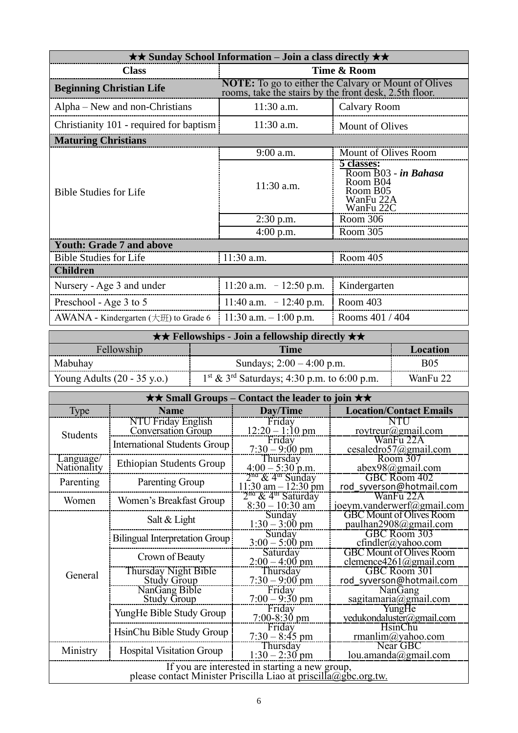| $\star\star$ Sunday School Information – Join a class directly $\star\star$ |                                                                                                                       |                                                                                      |  |  |
|-----------------------------------------------------------------------------|-----------------------------------------------------------------------------------------------------------------------|--------------------------------------------------------------------------------------|--|--|
| <b>Class</b><br>Time & Room                                                 |                                                                                                                       |                                                                                      |  |  |
| <b>Beginning Christian Life</b>                                             | <b>NOTE:</b> To go to either the Calvary or Mount of Olives<br>rooms, take the stairs by the front desk, 2.5th floor. |                                                                                      |  |  |
| Alpha – New and non-Christians                                              | 11:30 a.m.                                                                                                            | Calvary Room                                                                         |  |  |
| Christianity 101 - required for baptism                                     | $11:30$ a.m.                                                                                                          | <b>Mount of Olives</b>                                                               |  |  |
| <b>Maturing Christians</b>                                                  |                                                                                                                       |                                                                                      |  |  |
|                                                                             | 9:00 a.m.                                                                                                             | Mount of Olives Room                                                                 |  |  |
| <b>Bible Studies for Life</b>                                               | 11:30 a.m.                                                                                                            | 5 classes:<br>Room B03 - in Bahasa<br>Room B04<br>Room B05<br>WanFu 22A<br>WanFu 22C |  |  |
|                                                                             | $2:30$ p.m.                                                                                                           | Room 306                                                                             |  |  |
|                                                                             | $4:00$ p.m.                                                                                                           | Room 305                                                                             |  |  |
| <b>Youth: Grade 7 and above</b>                                             |                                                                                                                       |                                                                                      |  |  |
| <b>Bible Studies for Life</b>                                               | $11:30$ a.m.                                                                                                          | Room 405                                                                             |  |  |
| <b>Children</b>                                                             |                                                                                                                       |                                                                                      |  |  |
| Nursery - Age 3 and under                                                   | 11:20 a.m. $-12:50$ p.m.                                                                                              | Kindergarten                                                                         |  |  |
| Preschool - Age 3 to 5                                                      | 11:40 a.m. $-12:40$ p.m.                                                                                              | Room 403                                                                             |  |  |
| AWANA - Kindergarten $(\pm \text{m})$ to Grade 6                            | 11:30 a.m. $-1:00$ p.m.                                                                                               | Rooms 401 / 404                                                                      |  |  |

| $\star \star$ Fellowships - Join a fellowship directly $\star \star$ |                                                           |            |  |  |
|----------------------------------------------------------------------|-----------------------------------------------------------|------------|--|--|
| Fellowship<br>Time<br>Location                                       |                                                           |            |  |  |
| Mabuhay                                                              | Sundays; $2:00 - 4:00$ p.m.                               | <b>B05</b> |  |  |
| Young Adults $(20 - 35 \text{ y.o.})$                                | $1st$ & 3 <sup>rd</sup> Saturdays; 4:30 p.m. to 6:00 p.m. | WanFu 22   |  |  |

|                          | $\star\star$ Small Groups – Contact the leader to join $\star\star$                                               |                                                       |                                                           |  |  |
|--------------------------|-------------------------------------------------------------------------------------------------------------------|-------------------------------------------------------|-----------------------------------------------------------|--|--|
| <b>Type</b>              | <b>Name</b>                                                                                                       | Day/Time                                              | <b>Location/Contact Emails</b>                            |  |  |
|                          | NTU Friday English<br><b>Conversation Group</b>                                                                   | Friday<br>$12:20 - 1:10 \text{ pm}$                   | NTU<br>roytreur@gmail.com                                 |  |  |
| <b>Students</b>          | <b>International Students Group</b>                                                                               | Friday<br>$7:30 - 9:00 \text{ pm}$                    | WanFu 22A<br>cesaledro57@gmail.com                        |  |  |
| Language/<br>Nationality | <b>Ethiopian Students Group</b>                                                                                   | Thursday<br>$4:00 - 5:30$ p.m.<br>$2nd & 4th$ Sunday  | Room 307<br>abex98@gmail.com                              |  |  |
| Parenting                | Parenting Group                                                                                                   | $11:30$ am $-12:30$ pm                                | GBC Room 402<br>rod syverson@hotmail.com                  |  |  |
| Women                    | Women's Breakfast Group                                                                                           | $2na$ & 4 <sup>th</sup> Saturday<br>$8:30 - 10:30$ am | WanFu 22A<br>joeym.vanderwerf@gmail.com                   |  |  |
|                          | Salt & Light                                                                                                      | Sunday<br>$1:30 - 3:00$ pm                            | <b>GBC Mount of Olives Room</b><br>paulhan2908@gmail.com  |  |  |
|                          | <b>Bilingual Interpretation Group</b>                                                                             | Sunday<br>$3:00 - 5:00$ pm                            | <b>GBC Room 303</b><br>$cfindler(a)$ yahoo.com            |  |  |
|                          | Crown of Beauty                                                                                                   | Saturday<br>$2:00 - 4:00$ pm                          | <b>GBC Mount of Olives Room</b><br>clemence4261@gmail.com |  |  |
| General                  | Thursday Night Bible<br><b>Study Group</b>                                                                        | Thursday<br>$7:30 - 9:00$ pm                          | GBC Room 301<br>rod_syverson@hotmail.com                  |  |  |
|                          | NanGang Bible<br><b>Study Group</b>                                                                               | Friday<br>$7:00 - 9:30$ pm                            | <b>NanGang</b><br>sagitamaria@gmail.com                   |  |  |
|                          | YungHe Bible Study Group                                                                                          | Friday<br>$7:00-8:30$ pm                              | YungHe<br>yedukondaluster@gmail.com                       |  |  |
|                          | HsinChu Bible Study Group                                                                                         | Friday<br>$7:30 - 8:45$ pm                            | <b>HsinChu</b><br>rmanlim@yahoo.com                       |  |  |
| Ministry                 | <b>Hospital Visitation Group</b>                                                                                  | Thursday<br>$1:30 - 2:30$ pm                          | Near GBC<br>lou.amanda@gmail.com                          |  |  |
|                          | If you are interested in starting a new group,<br>please contact Minister Priscilla Liao at priscilla@gbc.org.tw. |                                                       |                                                           |  |  |